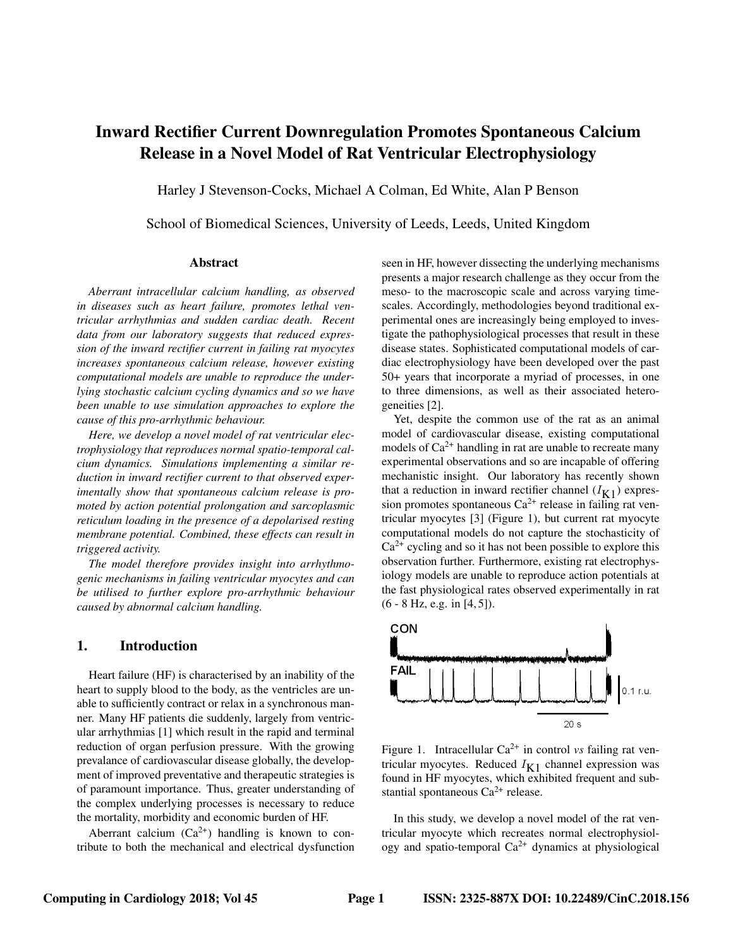# Inward Rectifier Current Downregulation Promotes Spontaneous Calcium Release in a Novel Model of Rat Ventricular Electrophysiology

Harley J Stevenson-Cocks, Michael A Colman, Ed White, Alan P Benson

School of Biomedical Sciences, University of Leeds, Leeds, United Kingdom

#### Abstract

*Aberrant intracellular calcium handling, as observed in diseases such as heart failure, promotes lethal ventricular arrhythmias and sudden cardiac death. Recent data from our laboratory suggests that reduced expression of the inward rectifier current in failing rat myocytes increases spontaneous calcium release, however existing computational models are unable to reproduce the underlying stochastic calcium cycling dynamics and so we have been unable to use simulation approaches to explore the cause of this pro-arrhythmic behaviour.*

*Here, we develop a novel model of rat ventricular electrophysiology that reproduces normal spatio-temporal calcium dynamics. Simulations implementing a similar reduction in inward rectifier current to that observed experimentally show that spontaneous calcium release is promoted by action potential prolongation and sarcoplasmic reticulum loading in the presence of a depolarised resting membrane potential. Combined, these effects can result in triggered activity.*

*The model therefore provides insight into arrhythmogenic mechanisms in failing ventricular myocytes and can be utilised to further explore pro-arrhythmic behaviour caused by abnormal calcium handling.*

# 1. Introduction

Heart failure (HF) is characterised by an inability of the heart to supply blood to the body, as the ventricles are unable to sufficiently contract or relax in a synchronous manner. Many HF patients die suddenly, largely from ventricular arrhythmias [1] which result in the rapid and terminal reduction of organ perfusion pressure. With the growing prevalance of cardiovascular disease globally, the development of improved preventative and therapeutic strategies is of paramount importance. Thus, greater understanding of the complex underlying processes is necessary to reduce the mortality, morbidity and economic burden of HF.

Aberrant calcium  $(Ca^{2+})$  handling is known to contribute to both the mechanical and electrical dysfunction seen in HF, however dissecting the underlying mechanisms presents a major research challenge as they occur from the meso- to the macroscopic scale and across varying timescales. Accordingly, methodologies beyond traditional experimental ones are increasingly being employed to investigate the pathophysiological processes that result in these disease states. Sophisticated computational models of cardiac electrophysiology have been developed over the past 50+ years that incorporate a myriad of processes, in one to three dimensions, as well as their associated heterogeneities [2].

Yet, despite the common use of the rat as an animal model of cardiovascular disease, existing computational models of  $Ca^{2+}$  handling in rat are unable to recreate many experimental observations and so are incapable of offering mechanistic insight. Our laboratory has recently shown that a reduction in inward rectifier channel  $(I_{K1})$  expression promotes spontaneous  $Ca^{2+}$  release in failing rat ventricular myocytes [3] (Figure 1), but current rat myocyte computational models do not capture the stochasticity of  $Ca<sup>2+</sup>$  cycling and so it has not been possible to explore this observation further. Furthermore, existing rat electrophysiology models are unable to reproduce action potentials at the fast physiological rates observed experimentally in rat (6 - 8 Hz, e.g. in [4, 5]).



Figure 1. Intracellular Ca<sup>2+</sup> in control *vs* failing rat ventricular myocytes. Reduced  $I_{K1}$  channel expression was found in HF myocytes, which exhibited frequent and substantial spontaneous  $Ca^{2+}$  release.

In this study, we develop a novel model of the rat ventricular myocyte which recreates normal electrophysiology and spatio-temporal  $Ca^{2+}$  dynamics at physiological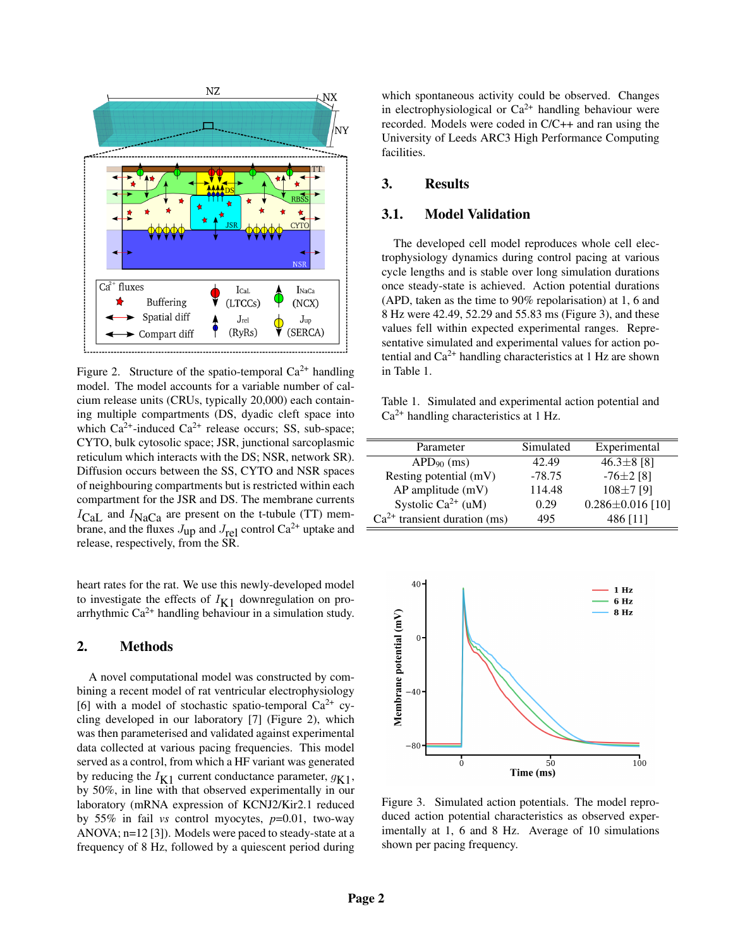

Figure 2. Structure of the spatio-temporal  $Ca^{2+}$  handling model. The model accounts for a variable number of calcium release units (CRUs, typically 20,000) each containing multiple compartments (DS, dyadic cleft space into which  $Ca^{2+}$ -induced  $Ca^{2+}$  release occurs; SS, sub-space; CYTO, bulk cytosolic space; JSR, junctional sarcoplasmic reticulum which interacts with the DS; NSR, network SR). Diffusion occurs between the SS, CYTO and NSR spaces of neighbouring compartments but is restricted within each compartment for the JSR and DS. The membrane currents  $I_{\text{Cal}}$  and  $I_{\text{NaCa}}$  are present on the t-tubule (TT) membrane, and the fluxes  $J_{up}$  and  $J_{rel}$  control Ca<sup>2+</sup> uptake and release, respectively, from the SR.

heart rates for the rat. We use this newly-developed model to investigate the effects of  $I_{K1}$  downregulation on proarrhythmic  $Ca^{2+}$  handling behaviour in a simulation study.

# 2. Methods

A novel computational model was constructed by combining a recent model of rat ventricular electrophysiology [6] with a model of stochastic spatio-temporal  $Ca^{2+}$  cycling developed in our laboratory [7] (Figure 2), which was then parameterised and validated against experimental data collected at various pacing frequencies. This model served as a control, from which a HF variant was generated by reducing the  $I_{K1}$  current conductance parameter,  $g_{K1}$ , by 50%, in line with that observed experimentally in our laboratory (mRNA expression of KCNJ2/Kir2.1 reduced by 55% in fail *vs* control myocytes, *p*=0.01, two-way ANOVA; n=12 [3]). Models were paced to steady-state at a frequency of 8 Hz, followed by a quiescent period during which spontaneous activity could be observed. Changes in electrophysiological or  $Ca^{2+}$  handling behaviour were recorded. Models were coded in C/C++ and ran using the University of Leeds ARC3 High Performance Computing facilities.

# 3. Results

#### 3.1. Model Validation

The developed cell model reproduces whole cell electrophysiology dynamics during control pacing at various cycle lengths and is stable over long simulation durations once steady-state is achieved. Action potential durations (APD, taken as the time to 90% repolarisation) at 1, 6 and 8 Hz were 42.49, 52.29 and 55.83 ms (Figure 3), and these values fell within expected experimental ranges. Representative simulated and experimental values for action potential and  $Ca^{2+}$  handling characteristics at 1 Hz are shown in Table 1.

Table 1. Simulated and experimental action potential and  $Ca<sup>2+</sup>$  handling characteristics at 1 Hz.

| Parameter                      | Simulated | Experimental           |
|--------------------------------|-----------|------------------------|
| $APD90$ (ms)                   | 42.49     | $46.3 \pm 8$ [8]       |
| Resting potential (mV)         | $-78.75$  | $-76\pm2$ [8]          |
| $AP$ amplitude $(mV)$          | 114.48    | $108\pm7$ [9]          |
| Systolic Ca <sup>2+</sup> (uM) | 0.29      | $0.286 \pm 0.016$ [10] |
| $Ca2+$ transient duration (ms) | 495       | 486 [11]               |
|                                |           |                        |



Figure 3. Simulated action potentials. The model reproduced action potential characteristics as observed experimentally at 1, 6 and 8 Hz. Average of 10 simulations shown per pacing frequency.

 $\equiv$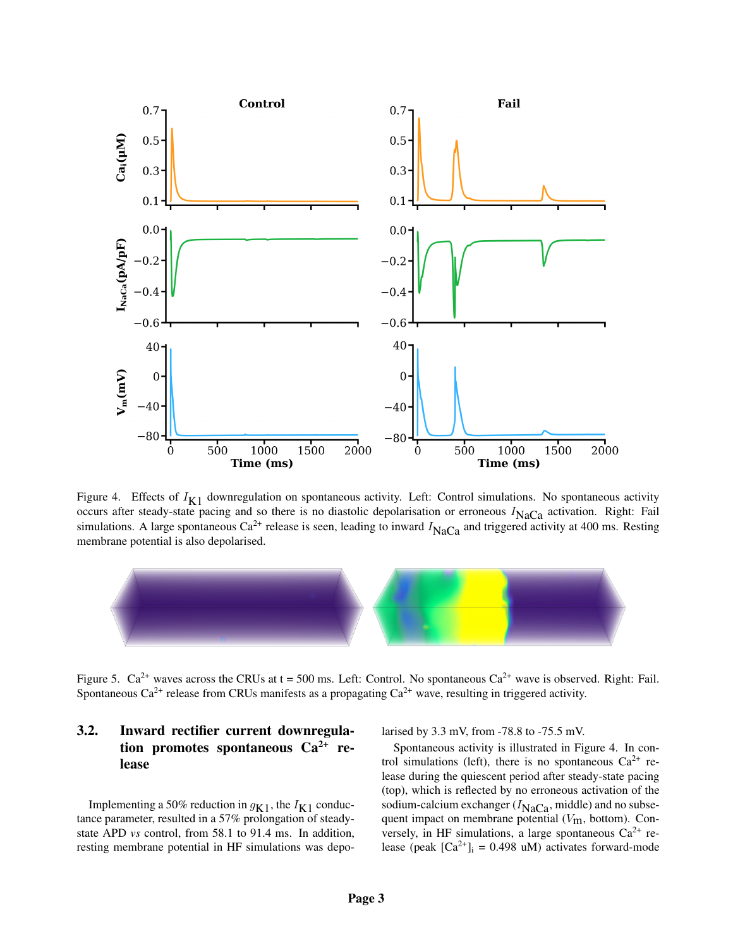

Figure 4. Effects of  $I_{K1}$  downregulation on spontaneous activity. Left: Control simulations. No spontaneous activity occurs after steady-state pacing and so there is no diastolic depolarisation or erroneous  $I_{\text{NaCa}}$  activation. Right: Fail simulations. A large spontaneous Ca<sup>2+</sup> release is seen, leading to inward  $I_{\text{NaCa}}$  and triggered activity at 400 ms. Resting membrane potential is also depolarised.



Figure 5.  $Ca^{2+}$  waves across the CRUs at t = 500 ms. Left: Control. No spontaneous  $Ca^{2+}$  wave is observed. Right: Fail. Spontaneous Ca<sup>2+</sup> release from CRUs manifests as a propagating Ca<sup>2+</sup> wave, resulting in triggered activity.

# 3.2. Inward rectifier current downregulation promotes spontaneous  $Ca^{2+}$  release

Implementing a 50% reduction in  $g_{K1}$ , the  $I_{K1}$  conductance parameter, resulted in a 57% prolongation of steadystate APD *vs* control, from 58.1 to 91.4 ms. In addition, resting membrane potential in HF simulations was depolarised by 3.3 mV, from -78.8 to -75.5 mV.

Spontaneous activity is illustrated in Figure 4. In control simulations (left), there is no spontaneous  $Ca^{2+}$  release during the quiescent period after steady-state pacing (top), which is reflected by no erroneous activation of the sodium-calcium exchanger  $(I_{\text{NaCa}})$ , middle) and no subsequent impact on membrane potential  $(V<sub>m</sub>)$ , bottom). Conversely, in HF simulations, a large spontaneous  $Ca^{2+}$  release (peak  $[Ca^{2+}]_i = 0.498$  uM) activates forward-mode